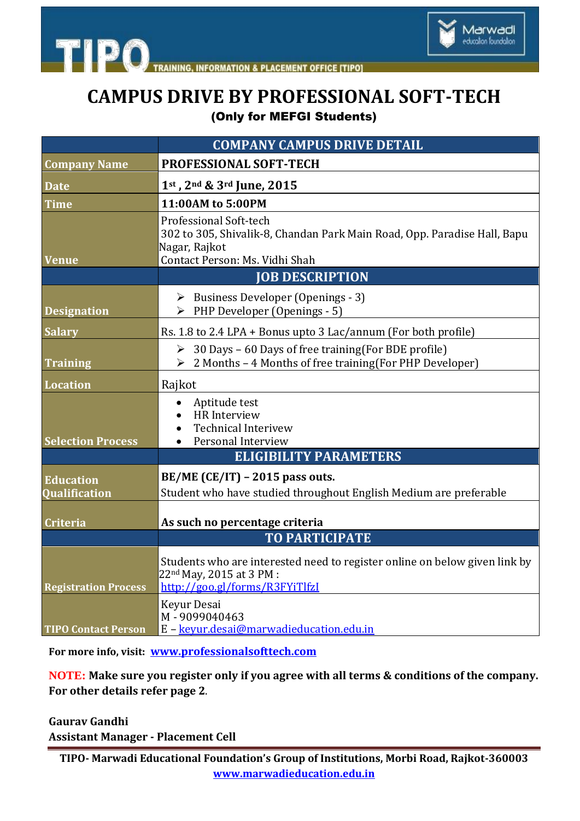



Marwadi education foundation

|                                          | <b>COMPANY CAMPUS DRIVE DETAIL</b>                                                                                                                    |
|------------------------------------------|-------------------------------------------------------------------------------------------------------------------------------------------------------|
| <b>Company Name</b>                      | PROFESSIONAL SOFT-TECH                                                                                                                                |
| <b>Date</b>                              | 1st, 2nd & 3rd June, 2015                                                                                                                             |
| <b>Time</b>                              | 11:00AM to 5:00PM                                                                                                                                     |
| <b>Venue</b>                             | Professional Soft-tech<br>302 to 305, Shivalik-8, Chandan Park Main Road, Opp. Paradise Hall, Bapu<br>Nagar, Rajkot<br>Contact Person: Ms. Vidhi Shah |
|                                          | <b>JOB DESCRIPTION</b>                                                                                                                                |
| <b>Designation</b>                       | $\triangleright$ Business Developer (Openings - 3)<br>$\triangleright$ PHP Developer (Openings - 5)                                                   |
| <b>Salary</b>                            | Rs. 1.8 to 2.4 LPA + Bonus upto 3 Lac/annum (For both profile)                                                                                        |
| <b>Training</b>                          | $\geq$ 30 Days - 60 Days of free training (For BDE profile)<br>$\geq 2$ Months - 4 Months of free training (For PHP Developer)                        |
| Location                                 | Rajkot                                                                                                                                                |
| <b>Selection Process</b>                 | Aptitude test<br>$\bullet$<br>HR Interview<br><b>Technical Interivew</b><br>Personal Interview                                                        |
|                                          | <b>ELIGIBILITY PARAMETERS</b>                                                                                                                         |
| <b>Education</b><br><b>Qualification</b> | BE/ME (CE/IT) - 2015 pass outs.<br>Student who have studied throughout English Medium are preferable                                                  |
| Criteria                                 | As such no percentage criteria                                                                                                                        |
|                                          | <b>TO PARTICIPATE</b>                                                                                                                                 |
| <b>Registration Process</b>              | Students who are interested need to register online on below given link by<br>22 <sup>nd</sup> May, 2015 at 3 PM :<br>http://goo.gl/forms/R3FYiTlfzI  |
| <b>TIPO Contact Person</b>               | Keyur Desai<br>M-9099040463<br>E - keyur.desai@marwadieducation.edu.in                                                                                |

**For more info, visit: [www.professionalsofttech.com](file:///C:\Users\Administrator\Desktop\www.professionalsofttech.com)**

**NOTE: Make sure you register only if you agree with all terms & conditions of the company. For other details refer page 2**.

**Gaurav Gandhi Assistant Manager - Placement Cell**

**TIPO- Marwadi Educational Foundation's Group of Institutions, Morbi Road, Rajkot-360003 www.marwadieducation.edu.in**